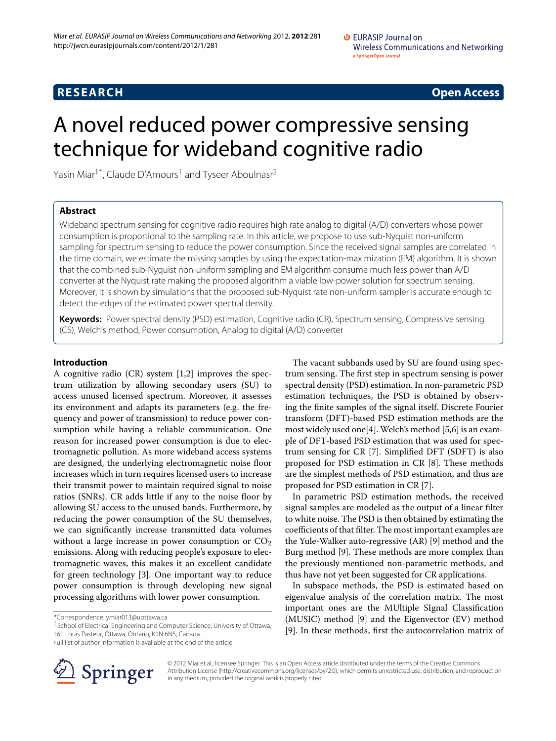## **RESEARCH Open Access**

# A novel reduced power compressive sensing technique for wideband cognitive radio

Yasin Miar<sup>1\*</sup>, Claude D'Amours<sup>1</sup> and Tyseer Aboulnasr<sup>2</sup>

## **Abstract**

Wideband spectrum sensing for cognitive radio requires high rate analog to digital (A/D) converters whose power consumption is proportional to the sampling rate. In this article, we propose to use sub-Nyquist non-uniform sampling for spectrum sensing to reduce the power consumption. Since the received signal samples are correlated in the time domain, we estimate the missing samples by using the expectation-maximization (EM) algorithm. It is shown that the combined sub-Nyquist non-uniform sampling and EM algorithm consume much less power than A/D converter at the Nyquist rate making the proposed algorithm a viable low-power solution for spectrum sensing. Moreover, it is shown by simulations that the proposed sub-Nyquist rate non-uniform sampler is accurate enough to detect the edges of the estimated power spectral density.

**Keywords:** Power spectral density (PSD) estimation, Cognitive radio (CR), Spectrum sensing, Compressive sensing (CS), Welch's method, Power consumption, Analog to digital (A/D) converter

## **Introduction**

A cognitive radio (CR) system [\[1](#page-10-0)[,2\]](#page-10-1) improves the spectrum utilization by allowing secondary users (SU) to access unused licensed spectrum. Moreover, it assesses its environment and adapts its parameters (e.g. the frequency and power of transmission) to reduce power consumption while having a reliable communication. One reason for increased power consumption is due to electromagnetic pollution. As more wideband access systems are designed, the underlying electromagnetic noise floor increases which in turn requires licensed users to increase their transmit power to maintain required signal to noise ratios (SNRs). CR adds little if any to the noise floor by allowing SU access to the unused bands. Furthermore, by reducing the power consumption of the SU themselves, we can significantly increase transmitted data volumes without a large increase in power consumption or  $CO<sub>2</sub>$ emissions. Along with reducing people's exposure to electromagnetic waves, this makes it an excellent candidate for green technology [\[3\]](#page-10-2). One important way to reduce power consumption is through developing new signal processing algorithms with lower power consumption.

Full list of author information is available at the end of the article



The vacant subbands used by SU are found using spectrum sensing. The first step in spectrum sensing is power spectral density (PSD) estimation. In non-parametric PSD estimation techniques, the PSD is obtained by observing the finite samples of the signal itself. Discrete Fourier transform (DFT)-based PSD estimation methods are the most widely used one[\[4\]](#page-11-0). Welch's method [\[5](#page-11-1)[,6\]](#page-11-2) is an example of DFT-based PSD estimation that was used for spectrum sensing for CR [\[7\]](#page-11-3). Simplified DFT (SDFT) is also proposed for PSD estimation in CR [\[8\]](#page-11-4). These methods are the simplest methods of PSD estimation, and thus are proposed for PSD estimation in CR [\[7\]](#page-11-3).

In parametric PSD estimation methods, the received signal samples are modeled as the output of a linear filter to white noise. The PSD is then obtained by estimating the coefficients of that filter. The most important examples are the Yule-Walker auto-regressive (AR) [\[9\]](#page-11-5) method and the Burg method [\[9\]](#page-11-5). These methods are more complex than the previously mentioned non-parametric methods, and thus have not yet been suggested for CR applications.

In subspace methods, the PSD is estimated based on eigenvalue analysis of the correlation matrix. The most important ones are the MUltiple SIgnal Classification (MUSIC) method [\[9\]](#page-11-5) and the Eigenvector (EV) method [\[9\]](#page-11-5). In these methods, first the autocorrelation matrix of

© 2012 Miar et al.; licensee Springer. This is an Open Access article distributed under the terms of the Creative Commons Attribution License (http://creativecommons.org/licenses/by/2.0), which permits unrestricted use, distribution, and reproduction in any medium, provided the original work is properly cited.

<sup>\*</sup>Correspondence: ymiar013@uottawa.ca

<sup>1</sup>School of Electrical Engineering and Computer Science, University of Ottawa, 161 Louis Pasteur, Ottawa, Ontario, K1N 6N5, Canada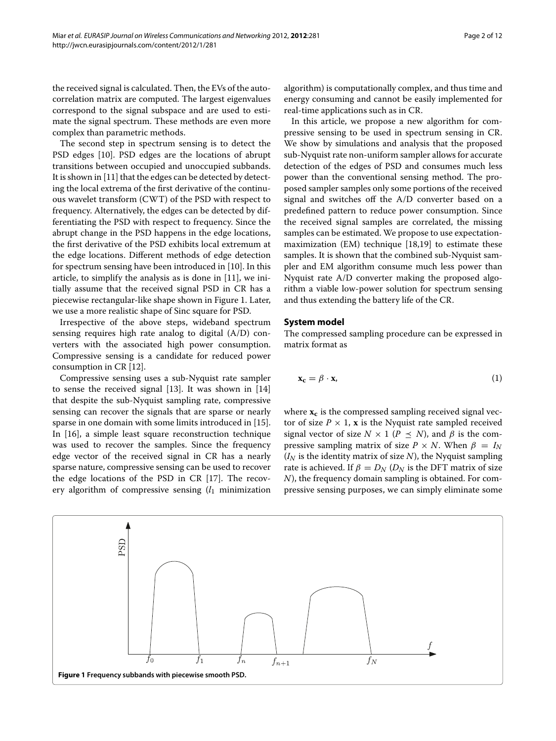the received signal is calculated. Then, the EVs of the autocorrelation matrix are computed. The largest eigenvalues correspond to the signal subspace and are used to estimate the signal spectrum. These methods are even more complex than parametric methods.

The second step in spectrum sensing is to detect the PSD edges [\[10\]](#page-11-6). PSD edges are the locations of abrupt transitions between occupied and unoccupied subbands. It is shown in [\[11\]](#page-11-7) that the edges can be detected by detecting the local extrema of the first derivative of the continuous wavelet transform (CWT) of the PSD with respect to frequency. Alternatively, the edges can be detected by differentiating the PSD with respect to frequency. Since the abrupt change in the PSD happens in the edge locations, the first derivative of the PSD exhibits local extremum at the edge locations. Different methods of edge detection for spectrum sensing have been introduced in [\[10\]](#page-11-6). In this article, to simplify the analysis as is done in [\[11\]](#page-11-7), we initially assume that the received signal PSD in CR has a piecewise rectangular-like shape shown in Figure [1.](#page-1-0) Later, we use a more realistic shape of Sinc square for PSD.

Irrespective of the above steps, wideband spectrum sensing requires high rate analog to digital (A/D) converters with the associated high power consumption. Compressive sensing is a candidate for reduced power consumption in CR [\[12\]](#page-11-8).

Compressive sensing uses a sub-Nyquist rate sampler to sense the received signal [\[13\]](#page-11-9). It was shown in [\[14\]](#page-11-10) that despite the sub-Nyquist sampling rate, compressive sensing can recover the signals that are sparse or nearly sparse in one domain with some limits introduced in [\[15\]](#page-11-11). In [\[16\]](#page-11-12), a simple least square reconstruction technique was used to recover the samples. Since the frequency edge vector of the received signal in CR has a nearly sparse nature, compressive sensing can be used to recover the edge locations of the PSD in CR [\[17\]](#page-11-13). The recovery algorithm of compressive sensing (*l*<sup>1</sup> minimization

algorithm) is computationally complex, and thus time and energy consuming and cannot be easily implemented for real-time applications such as in CR.

In this article, we propose a new algorithm for compressive sensing to be used in spectrum sensing in CR. We show by simulations and analysis that the proposed sub-Nyquist rate non-uniform sampler allows for accurate detection of the edges of PSD and consumes much less power than the conventional sensing method. The proposed sampler samples only some portions of the received signal and switches off the A/D converter based on a predefined pattern to reduce power consumption. Since the received signal samples are correlated, the missing samples can be estimated. We propose to use expectationmaximization (EM) technique [\[18](#page-11-14)[,19\]](#page-11-15) to estimate these samples. It is shown that the combined sub-Nyquist sampler and EM algorithm consume much less power than Nyquist rate A/D converter making the proposed algorithm a viable low-power solution for spectrum sensing and thus extending the battery life of the CR.

## **System model**

The compressed sampling procedure can be expressed in matrix format as

$$
\mathbf{x}_{\mathbf{c}} = \beta \cdot \mathbf{x},\tag{1}
$$

where  $x_c$  is the compressed sampling received signal vector of size  $P \times 1$ , **x** is the Nyquist rate sampled received signal vector of size  $N \times 1$  ( $P \leq N$ ), and  $\beta$  is the compressive sampling matrix of size  $P \times N$ . When  $\beta = I_N$  $(I_N)$  is the identity matrix of size  $N$ ), the Nyquist sampling rate is achieved. If  $\beta = D_N$  ( $D_N$  is the DFT matrix of size *N*), the frequency domain sampling is obtained. For compressive sensing purposes, we can simply eliminate some

<span id="page-1-0"></span>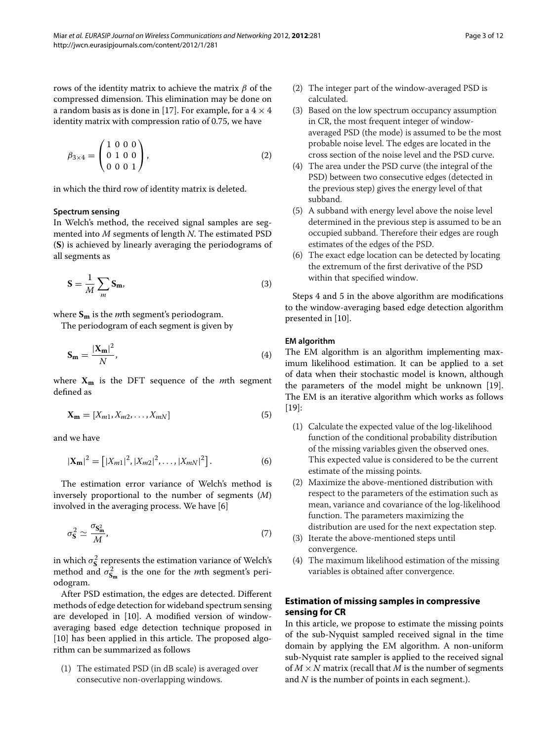rows of the identity matrix to achieve the matrix *β* of the compressed dimension. This elimination may be done on a random basis as is done in [\[17\]](#page-11-13). For example, for a  $4 \times 4$ identity matrix with compression ratio of 0.75, we have

$$
\beta_{3\times 4} = \begin{pmatrix} 1 & 0 & 0 & 0 \\ 0 & 1 & 0 & 0 \\ 0 & 0 & 0 & 1 \end{pmatrix}, \tag{2}
$$

in which the third row of identity matrix is deleted.

#### **Spectrum sensing**

In Welch's method, the received signal samples are segmented into *M* segments of length *N*. The estimated PSD (**S**) is achieved by linearly averaging the periodograms of all segments as

$$
\mathbf{S} = \frac{1}{M} \sum_{m} \mathbf{S}_{\mathbf{m}},\tag{3}
$$

where **Sm** is the *m*th segment's periodogram.

The periodogram of each segment is given by

$$
\mathbf{S_m} = \frac{|\mathbf{X_m}|^2}{N},\tag{4}
$$

where  $X_m$  is the DFT sequence of the  $m$ th segment defined as

$$
\mathbf{X_m} = [X_{m1}, X_{m2}, \dots, X_{mN}] \tag{5}
$$

and we have

$$
|\mathbf{X}_{\mathbf{m}}|^2 = [|X_{m1}|^2, |X_{m2}|^2, \dots, |X_{mN}|^2].
$$
 (6)

The estimation error variance of Welch's method is inversely proportional to the number of segments (*M*) involved in the averaging process. We have [\[6\]](#page-11-2)

$$
\sigma_{\mathbf{S}}^2 \simeq \frac{\sigma_{\mathbf{S_m^2}}}{M},\tag{7}
$$

in which  $\sigma_{\mathbf{S}}^2$  represents the estimation variance of Welch's method and  $\sigma_{\mathbf{S}_m}^2$  is the one for the *m*th segment's periodogram.

After PSD estimation, the edges are detected. Different methods of edge detection for wideband spectrum sensing are developed in [\[10\]](#page-11-6). A modified version of windowaveraging based edge detection technique proposed in [\[10\]](#page-11-6) has been applied in this article. The proposed algorithm can be summarized as follows

(1) The estimated PSD (in dB scale) is averaged over consecutive non-overlapping windows.

- (2) The integer part of the window-averaged PSD is calculated.
- (3) Based on the low spectrum occupancy assumption in CR, the most frequent integer of windowaveraged PSD (the mode) is assumed to be the most probable noise level. The edges are located in the cross section of the noise level and the PSD curve.
- (4) The area under the PSD curve (the integral of the PSD) between two consecutive edges (detected in the previous step) gives the energy level of that subband.
- (5) A subband with energy level above the noise level determined in the previous step is assumed to be an occupied subband. Therefore their edges are rough estimates of the edges of the PSD.
- (6) The exact edge location can be detected by locating the extremum of the first derivative of the PSD within that specified window.

Steps 4 and 5 in the above algorithm are modifications to the window-averaging based edge detection algorithm presented in [\[10\]](#page-11-6).

## **EM algorithm**

The EM algorithm is an algorithm implementing maximum likelihood estimation. It can be applied to a set of data when their stochastic model is known, although the parameters of the model might be unknown [\[19\]](#page-11-15). The EM is an iterative algorithm which works as follows [\[19\]](#page-11-15):

- (1) Calculate the expected value of the log-likelihood function of the conditional probability distribution of the missing variables given the observed ones. This expected value is considered to be the current estimate of the missing points.
- (2) Maximize the above-mentioned distribution with respect to the parameters of the estimation such as mean, variance and covariance of the log-likelihood function. The parameters maximizing the distribution are used for the next expectation step.
- (3) Iterate the above-mentioned steps until convergence.
- (4) The maximum likelihood estimation of the missing variables is obtained after convergence.

## **Estimation of missing samples in compressive sensing for CR**

In this article, we propose to estimate the missing points of the sub-Nyquist sampled received signal in the time domain by applying the EM algorithm. A non-uniform sub-Nyquist rate sampler is applied to the received signal of  $M \times N$  matrix (recall that M is the number of segments and *N* is the number of points in each segment.).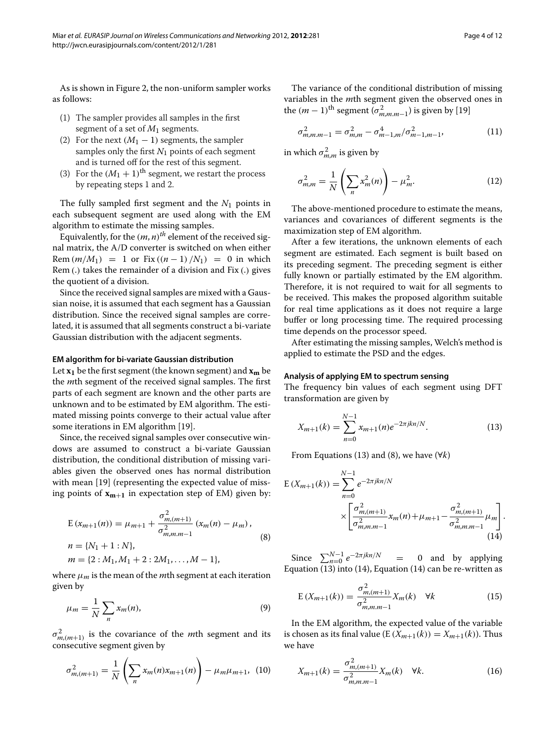As is shown in Figure [2,](#page-4-0) the non-uniform sampler works as follows:

- (1) The sampler provides all samples in the first segment of a set of *M*<sup>1</sup> segments.
- (2) For the next  $(M_1 1)$  segments, the sampler samples only the first *N*<sup>1</sup> points of each segment and is turned off for the rest of this segment.
- (3) For the  $(M_1 + 1)$ <sup>th</sup> segment, we restart the process by repeating steps 1 and 2.

The fully sampled first segment and the *N*<sup>1</sup> points in each subsequent segment are used along with the EM algorithm to estimate the missing samples.

Equivalently, for the  $(m, n)^{th}$  element of the received signal matrix, the A/D converter is switched on when either  $\text{Rem}(m/M_1) = 1 \text{ or } \text{Fix}((n-1)/N_1) = 0 \text{ in which}$ Rem *(*.*)* takes the remainder of a division and Fix *(*.*)* gives the quotient of a division.

Since the received signal samples are mixed with a Gaussian noise, it is assumed that each segment has a Gaussian distribution. Since the received signal samples are correlated, it is assumed that all segments construct a bi-variate Gaussian distribution with the adjacent segments.

#### **EM algorithm for bi-variate Gaussian distribution**

Let  $x_1$  be the first segment (the known segment) and  $x_m$  be the *m*th segment of the received signal samples. The first parts of each segment are known and the other parts are unknown and to be estimated by EM algorithm. The estimated missing points converge to their actual value after some iterations in EM algorithm [\[19\]](#page-11-15).

Since, the received signal samples over consecutive windows are assumed to construct a bi-variate Gaussian distribution, the conditional distribution of missing variables given the observed ones has normal distribution with mean [\[19\]](#page-11-15) (representing the expected value of missing points of  $x_{m+1}$  in expectation step of EM) given by:

<span id="page-3-1"></span>
$$
E (x_{m+1}(n)) = \mu_{m+1} + \frac{\sigma_{m,(m+1)}^2}{\sigma_{m,m,m-1}^2} (x_m(n) - \mu_m),
$$
  
\n
$$
n = \{N_1 + 1 : N\},
$$
  
\n
$$
m = \{2 : M_1, M_1 + 2 : 2M_1, ..., M - 1\},
$$
  
\n(8)

where  $\mu_m$  is the mean of the *m*th segment at each iteration given by

$$
\mu_m = \frac{1}{N} \sum_n x_m(n),\tag{9}
$$

 $\sigma_{m,(m+1)}^2$  is the covariance of the *m*th segment and its consecutive segment given by

$$
\sigma_{m,(m+1)}^2 = \frac{1}{N} \left( \sum_n x_m(n) x_{m+1}(n) \right) - \mu_m \mu_{m+1}, \tag{10}
$$

The variance of the conditional distribution of missing variables in the *m*th segment given the observed ones in the  $(m-1)$ <sup>th</sup> segment  $(\sigma_{m,m,m-1}^2)$  is given by [\[19\]](#page-11-15)

<span id="page-3-4"></span>
$$
\sigma_{m,m,m-1}^2 = \sigma_{m,m}^2 - \sigma_{m-1,m}^4 / \sigma_{m-1,m-1}^2, \tag{11}
$$

in which  $\sigma_{m,m}^2$  is given by

$$
\sigma_{m,m}^2 = \frac{1}{N} \left( \sum_n x_m^2(n) \right) - \mu_m^2.
$$
 (12)

The above-mentioned procedure to estimate the means, variances and covariances of different segments is the maximization step of EM algorithm.

After a few iterations, the unknown elements of each segment are estimated. Each segment is built based on its preceding segment. The preceding segment is either fully known or partially estimated by the EM algorithm. Therefore, it is not required to wait for all segments to be received. This makes the proposed algorithm suitable for real time applications as it does not require a large buffer or long processing time. The required processing time depends on the processor speed.

After estimating the missing samples, Welch's method is applied to estimate the PSD and the edges.

#### **Analysis of applying EM to spectrum sensing**

The frequency bin values of each segment using DFT transformation are given by

<span id="page-3-0"></span>
$$
X_{m+1}(k) = \sum_{n=0}^{N-1} x_{m+1}(n)e^{-2\pi jkn/N}.
$$
 (13)

From Equations [\(13\)](#page-3-0) and [\(8\)](#page-3-1), we have (∀*k*)

$$
E(X_{m+1}(k)) = \sum_{n=0}^{N-1} e^{-2\pi jkn/N}
$$
  
 
$$
\times \left[ \frac{\sigma_{m,(m+1)}^2}{\sigma_{m,m,m-1}^2} x_m(n) + \mu_{m+1} - \frac{\sigma_{m,(m+1)}^2}{\sigma_{m,m,m-1}^2} \mu_m \right].
$$
 (14)

Since  $\sum_{n=0}^{N-1} e^{-2\pi jkn/N}$  = 0 and by applying Equation [\(13\)](#page-3-0) into [\(14\)](#page-3-2), Equation (14) can be re-written as

<span id="page-3-2"></span>
$$
E(X_{m+1}(k)) = \frac{\sigma_{m,(m+1)}^2}{\sigma_{m,m,m-1}^2} X_m(k) \quad \forall k
$$
 (15)

In the EM algorithm, the expected value of the variable is chosen as its final value (E  $(X_{m+1}(k)) = X_{m+1}(k)$ ). Thus we have

<span id="page-3-3"></span>
$$
X_{m+1}(k) = \frac{\sigma_{m,(m+1)}^2}{\sigma_{m,m,m-1}^2} X_m(k) \quad \forall k.
$$
 (16)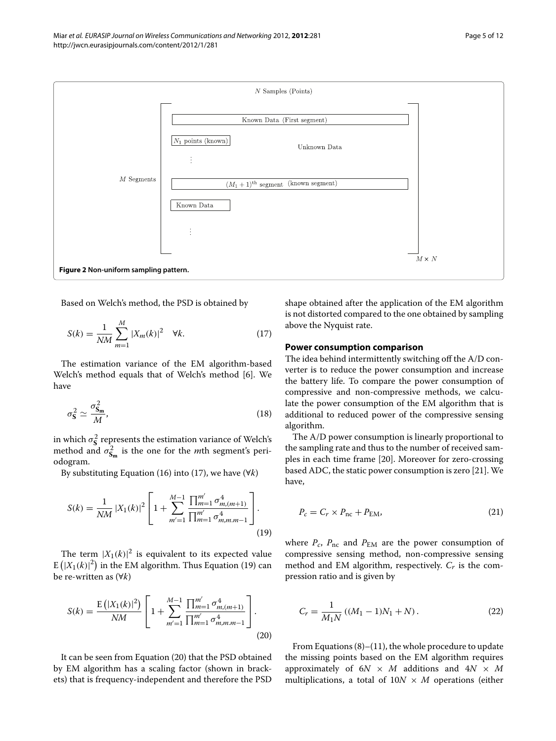

<span id="page-4-0"></span>Based on Welch's method, the PSD is obtained by

$$
S(k) = \frac{1}{NM} \sum_{m=1}^{M} |X_m(k)|^2 \quad \forall k.
$$
 (17)

The estimation variance of the EM algorithm-based Welch's method equals that of Welch's method [\[6\]](#page-11-2). We have

$$
\sigma_{\mathbf{S}}^2 \simeq \frac{\sigma_{\mathbf{S_m}}^2}{M},\tag{18}
$$

in which  $\sigma_{\mathbf{S}}^2$  represents the estimation variance of Welch's method and  $\sigma_{\mathbf{S}_m}^2$  is the one for the *m*th segment's periodogram.

By substituting Equation [\(16\)](#page-3-3) into [\(17\)](#page-4-1), we have (∀*k*)

$$
S(k) = \frac{1}{NM} |X_1(k)|^2 \left[ 1 + \sum_{m'=1}^{M-1} \frac{\prod_{m=1}^{m'} \sigma_{m,(m+1)}^4}{\prod_{m=1}^{m'} \sigma_{m,m,m-1}^4} \right].
$$
\n(19)

The term  $|X_1(k)|^2$  is equivalent to its expected value  $\mathbb{E}\left(|X_1(k)|^2\right)$  in the EM algorithm. Thus Equation [\(19\)](#page-4-2) can be re-written as (∀*k*)

<span id="page-4-3"></span>
$$
S(k) = \frac{\mathbb{E}\left(|X_1(k)|^2\right)}{NM} \left[1 + \sum_{m'=1}^{M-1} \frac{\prod_{m=1}^{m'} \sigma_{m,(m+1)}^4}{\prod_{m=1}^{m'} \sigma_{m,m,m-1}^4}\right].
$$
\n(20)

It can be seen from Equation [\(20\)](#page-4-3) that the PSD obtained by EM algorithm has a scaling factor (shown in brackets) that is frequency-independent and therefore the PSD <span id="page-4-1"></span>shape obtained after the application of the EM algorithm is not distorted compared to the one obtained by sampling above the Nyquist rate.

## **Power consumption comparison**

The idea behind intermittently switching off the A/D converter is to reduce the power consumption and increase the battery life. To compare the power consumption of compressive and non-compressive methods, we calculate the power consumption of the EM algorithm that is additional to reduced power of the compressive sensing algorithm.

<span id="page-4-2"></span>The A/D power consumption is linearly proportional to the sampling rate and thus to the number of received samples in each time frame [\[20\]](#page-11-16). Moreover for zero-crossing based ADC, the static power consumption is zero [\[21\]](#page-11-17). We have,

$$
P_c = C_r \times P_{\text{nc}} + P_{\text{EM}},\tag{21}
$$

where  $P_c$ ,  $P_{nc}$  and  $P_{EM}$  are the power consumption of compressive sensing method, non-compressive sensing method and EM algorithm, respectively. *Cr* is the compression ratio and is given by

$$
C_r = \frac{1}{M_1 N} ((M_1 - 1)N_1 + N).
$$
 (22)

From Equations  $(8)$ – $(11)$ , the whole procedure to update the missing points based on the EM algorithm requires approximately of  $6N \times M$  additions and  $4N \times M$ multiplications, a total of  $10N \times M$  operations (either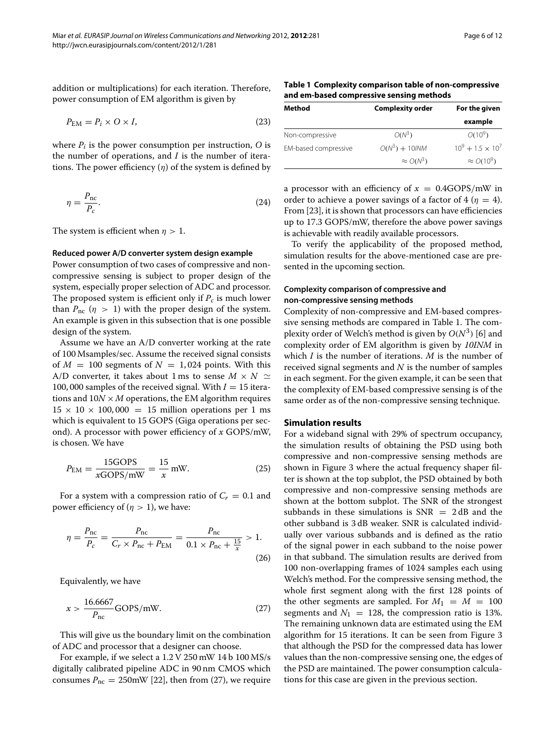addition or multiplications) for each iteration. Therefore, power consumption of EM algorithm is given by

$$
P_{\text{EM}} = P_i \times O \times I,\tag{23}
$$

where  $P_i$  is the power consumption per instruction,  $O$  is the number of operations, and *I* is the number of iterations. The power efficiency (*η*) of the system is defined by

$$
\eta = \frac{P_{\text{nc}}}{P_c}.\tag{24}
$$

The system is efficient when  $\eta > 1$ .

#### **Reduced power A/D converter system design example**

Power consumption of two cases of compressive and noncompressive sensing is subject to proper design of the system, especially proper selection of ADC and processor. The proposed system is efficient only if  $P_c$  is much lower than  $P_{\text{nc}}$  ( $\eta > 1$ ) with the proper design of the system. An example is given in this subsection that is one possible design of the system.

Assume we have an A/D converter working at the rate of 100 Msamples/sec. Assume the received signal consists of  $M = 100$  segments of  $N = 1,024$  points. With this A/D converter, it takes about 1 ms to sense  $M \times N \simeq$ 100, 000 samples of the received signal. With  $I = 15$  iterations and  $10N \times M$  operations, the EM algorithm requires  $15 \times 10 \times 100,000 = 15$  million operations per 1 ms which is equivalent to 15 GOPS (Giga operations per second). A processor with power efficiency of *x* GOPS/mW, is chosen. We have

$$
P_{\text{EM}} = \frac{15 \text{GOPS}}{x \text{GOPS}/\text{mW}} = \frac{15}{x} \text{mW}.
$$
 (25)

For a system with a compression ratio of  $C_r = 0.1$  and power efficiency of  $(\eta > 1)$ , we have:

$$
\eta = \frac{P_{\rm nc}}{P_c} = \frac{P_{\rm nc}}{C_r \times P_{\rm nc} + P_{\rm EM}} = \frac{P_{\rm nc}}{0.1 \times P_{\rm nc} + \frac{15}{x}} > 1.
$$
\n(26)

Equivalently, we have

<span id="page-5-0"></span>
$$
x > \frac{16.6667}{P_{\text{nc}}} \text{GOPS/mW}.
$$
 (27)

This will give us the boundary limit on the combination of ADC and processor that a designer can choose.

For example, if we select a 1.2 V 250 mW 14 b 100 MS/s digitally calibrated pipeline ADC in 90 nm CMOS which consumes  $P_{\text{nc}} = 250$ mW [\[22\]](#page-11-18), then from [\(27\)](#page-5-0), we require

<span id="page-5-1"></span>**Table 1 Complexity comparison table of non-compressive and em-based compressive sensing methods**

| Method               | <b>Complexity order</b>      | For the given<br>example      |
|----------------------|------------------------------|-------------------------------|
|                      |                              |                               |
| EM-based compressive | $O(N^3) + 10/NM$             | $10^9 + 1.5 \times 10^7$      |
|                      | $\approx$ O(N <sup>3</sup> ) | $\approx$ O(10 <sup>9</sup> ) |

a processor with an efficiency of *x* = 0.4GOPS*/*mW in order to achieve a power savings of a factor of  $4 (η = 4)$ . From [\[23\]](#page-11-19), it is shown that processors can have efficiencies up to 17.3 GOPS/mW, therefore the above power savings is achievable with readily available processors.

To verify the applicability of the proposed method, simulation results for the above-mentioned case are presented in the upcoming section.

## **Complexity comparison of compressive and non-compressive sensing methods**

Complexity of non-compressive and EM-based compressive sensing methods are compared in Table [1.](#page-5-1) The complexity order of Welch's method is given by  $O(N^3)$  [\[6\]](#page-11-2) and complexity order of EM algorithm is given by *10INM* in which *I* is the number of iterations. *M* is the number of received signal segments and *N* is the number of samples in each segment. For the given example, it can be seen that the complexity of EM-based compressive sensing is of the same order as of the non-compressive sensing technique.

## **Simulation results**

For a wideband signal with 29% of spectrum occupancy, the simulation results of obtaining the PSD using both compressive and non-compressive sensing methods are shown in Figure [3](#page-6-0) where the actual frequency shaper filter is shown at the top subplot, the PSD obtained by both compressive and non-compressive sensing methods are shown at the bottom subplot. The SNR of the strongest subbands in these simulations is  $SNR = 2 dB$  and the other subband is 3 dB weaker. SNR is calculated individually over various subbands and is defined as the ratio of the signal power in each subband to the noise power in that subband. The simulation results are derived from 100 non-overlapping frames of 1024 samples each using Welch's method. For the compressive sensing method, the whole first segment along with the first 128 points of the other segments are sampled. For  $M_1 = M = 100$ segments and  $N_1 = 128$ , the compression ratio is 13%. The remaining unknown data are estimated using the EM algorithm for 15 iterations. It can be seen from Figure [3](#page-6-0) that although the PSD for the compressed data has lower values than the non-compressive sensing one, the edges of the PSD are maintained. The power consumption calculations for this case are given in the previous section.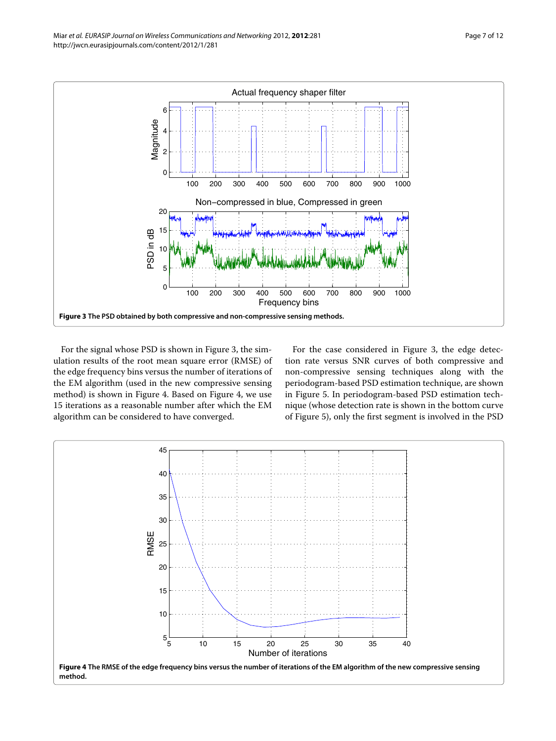

<span id="page-6-0"></span>For the signal whose PSD is shown in Figure [3,](#page-6-0) the simulation results of the root mean square error (RMSE) of the edge frequency bins versus the number of iterations of the EM algorithm (used in the new compressive sensing method) is shown in Figure [4.](#page-6-1) Based on Figure [4,](#page-6-1) we use 15 iterations as a reasonable number after which the EM algorithm can be considered to have converged.

For the case considered in Figure [3,](#page-6-0) the edge detection rate versus SNR curves of both compressive and non-compressive sensing techniques along with the periodogram-based PSD estimation technique, are shown in Figure [5.](#page-7-0) In periodogram-based PSD estimation technique (whose detection rate is shown in the bottom curve of Figure [5\)](#page-7-0), only the first segment is involved in the PSD

<span id="page-6-1"></span>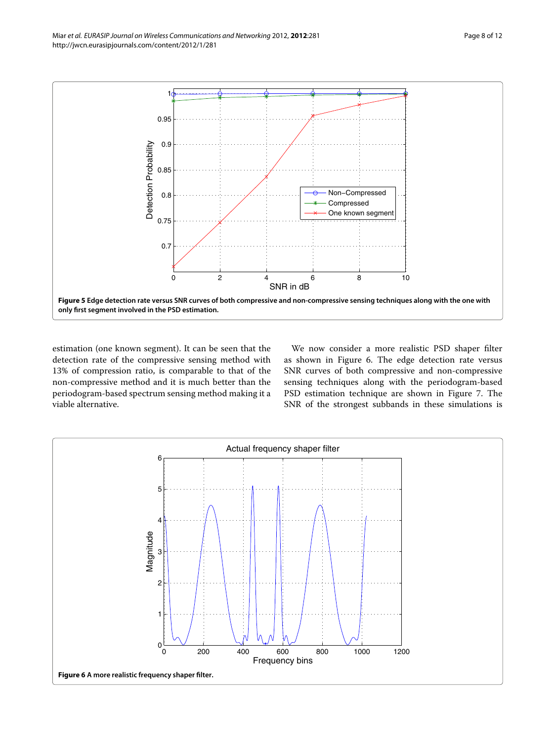

<span id="page-7-0"></span>estimation (one known segment). It can be seen that the detection rate of the compressive sensing method with 13% of compression ratio, is comparable to that of the non-compressive method and it is much better than the periodogram-based spectrum sensing method making it a viable alternative.

We now consider a more realistic PSD shaper filter as shown in Figure [6.](#page-7-1) The edge detection rate versus SNR curves of both compressive and non-compressive sensing techniques along with the periodogram-based PSD estimation technique are shown in Figure [7.](#page-8-0) The SNR of the strongest subbands in these simulations is

<span id="page-7-1"></span>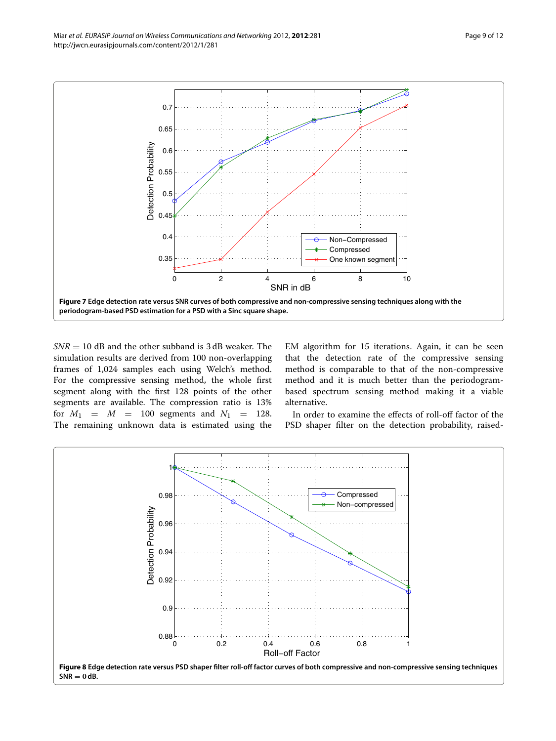

<span id="page-8-0"></span> $SNR = 10$  dB and the other subband is  $3$  dB weaker. The simulation results are derived from 100 non-overlapping frames of 1,024 samples each using Welch's method. For the compressive sensing method, the whole first segment along with the first 128 points of the other segments are available. The compression ratio is 13% for  $M_1 = M = 100$  segments and  $N_1 = 128$ . The remaining unknown data is estimated using the

EM algorithm for 15 iterations. Again, it can be seen that the detection rate of the compressive sensing method is comparable to that of the non-compressive method and it is much better than the periodogrambased spectrum sensing method making it a viable alternative.

In order to examine the effects of roll-off factor of the PSD shaper filter on the detection probability, raised-

<span id="page-8-1"></span>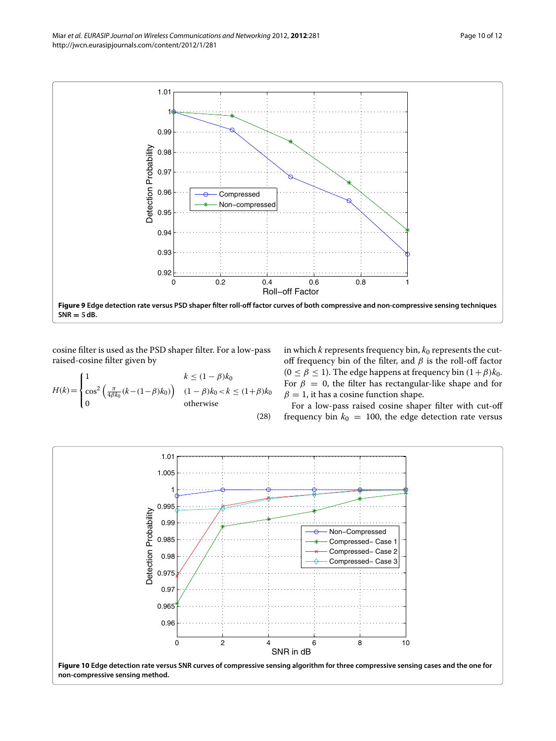

<span id="page-9-0"></span>cosine filter is used as the PSD shaper filter. For a low-pass raised-cosine filter given by

$$
H(k) = \begin{cases} 1 & k \le (1 - \beta)k_0 \\ \cos^2\left(\frac{\pi}{4\beta k_0}(k - (1 - \beta)k_0)\right) & (1 - \beta)k_0 < k \le (1 + \beta)k_0 \\ 0 & \text{otherwise} \end{cases}
$$
(28)

in which  $k$  represents frequency bin,  $k_0$  represents the cutoff frequency bin of the filter, and *β* is the roll-off factor  $(0 \leq \beta \leq 1)$ . The edge happens at frequency bin  $(1+\beta)k_0$ . For  $\beta = 0$ , the filter has rectangular-like shape and for  $\beta = 1$ , it has a cosine function shape.

For a low-pass raised cosine shaper filter with cut-off frequency bin  $k_0 = 100$ , the edge detection rate versus

<span id="page-9-1"></span>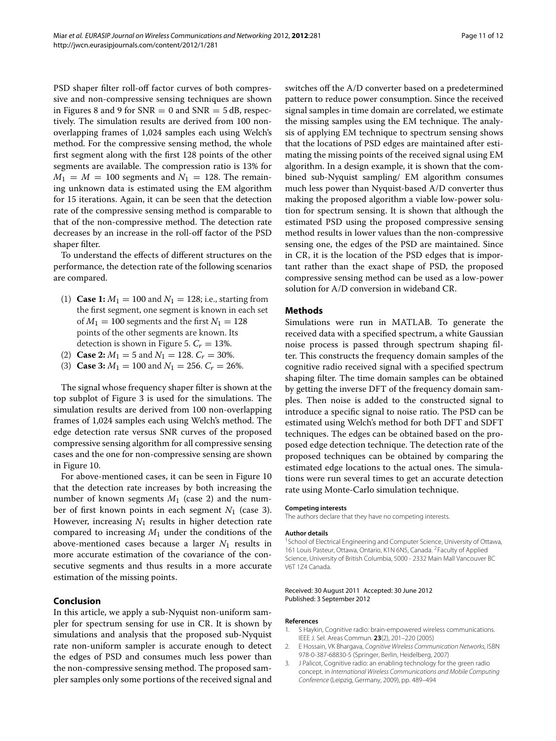PSD shaper filter roll-off factor curves of both compressive and non-compressive sensing techniques are shown in Figures [8](#page-8-1) and [9](#page-9-0) for  $SNR = 0$  and  $SNR = 5$  dB, respectively. The simulation results are derived from 100 nonoverlapping frames of 1,024 samples each using Welch's method. For the compressive sensing method, the whole first segment along with the first 128 points of the other segments are available. The compression ratio is 13% for  $M_1 = M = 100$  segments and  $N_1 = 128$ . The remaining unknown data is estimated using the EM algorithm for 15 iterations. Again, it can be seen that the detection rate of the compressive sensing method is comparable to that of the non-compressive method. The detection rate decreases by an increase in the roll-off factor of the PSD shaper filter.

To understand the effects of different structures on the performance, the detection rate of the following scenarios are compared.

- (1) **Case 1:**  $M_1 = 100$  and  $N_1 = 128$ ; i.e., starting from the first segment, one segment is known in each set of  $M_1 = 100$  segments and the first  $N_1 = 128$ points of the other segments are known. Its detection is shown in Figure [5.](#page-7-0)  $C_r = 13\%$ .
- (2) **Case 2:**  $M_1 = 5$  and  $N_1 = 128$ .  $C_r = 30\%$ .
- (3) **Case 3:**  $M_1 = 100$  and  $N_1 = 256$ .  $C_r = 26\%$ .

The signal whose frequency shaper filter is shown at the top subplot of Figure [3](#page-6-0) is used for the simulations. The simulation results are derived from 100 non-overlapping frames of 1,024 samples each using Welch's method. The edge detection rate versus SNR curves of the proposed compressive sensing algorithm for all compressive sensing cases and the one for non-compressive sensing are shown in Figure [10.](#page-9-1)

For above-mentioned cases, it can be seen in Figure [10](#page-9-1) that the detection rate increases by both increasing the number of known segments  $M_1$  (case 2) and the number of first known points in each segment *N*<sup>1</sup> (case 3). However, increasing *N*<sup>1</sup> results in higher detection rate compared to increasing  $M_1$  under the conditions of the above-mentioned cases because a larger *N*<sup>1</sup> results in more accurate estimation of the covariance of the consecutive segments and thus results in a more accurate estimation of the missing points.

## **Conclusion**

In this article, we apply a sub-Nyquist non-uniform sampler for spectrum sensing for use in CR. It is shown by simulations and analysis that the proposed sub-Nyquist rate non-uniform sampler is accurate enough to detect the edges of PSD and consumes much less power than the non-compressive sensing method. The proposed sampler samples only some portions of the received signal and

switches off the A/D converter based on a predetermined pattern to reduce power consumption. Since the received signal samples in time domain are correlated, we estimate the missing samples using the EM technique. The analysis of applying EM technique to spectrum sensing shows that the locations of PSD edges are maintained after estimating the missing points of the received signal using EM algorithm. In a design example, it is shown that the combined sub-Nyquist sampling/ EM algorithm consumes much less power than Nyquist-based A/D converter thus making the proposed algorithm a viable low-power solution for spectrum sensing. It is shown that although the estimated PSD using the proposed compressive sensing method results in lower values than the non-compressive sensing one, the edges of the PSD are maintained. Since in CR, it is the location of the PSD edges that is important rather than the exact shape of PSD, the proposed compressive sensing method can be used as a low-power solution for A/D conversion in wideband CR.

## **Methods**

Simulations were run in MATLAB. To generate the received data with a specified spectrum, a white Gaussian noise process is passed through spectrum shaping filter. This constructs the frequency domain samples of the cognitive radio received signal with a specified spectrum shaping filter. The time domain samples can be obtained by getting the inverse DFT of the frequency domain samples. Then noise is added to the constructed signal to introduce a specific signal to noise ratio. The PSD can be estimated using Welch's method for both DFT and SDFT techniques. The edges can be obtained based on the proposed edge detection technique. The detection rate of the proposed techniques can be obtained by comparing the estimated edge locations to the actual ones. The simulations were run several times to get an accurate detection rate using Monte-Carlo simulation technique.

#### **Competing interests**

The authors declare that they have no competing interests.

#### **Author details**

<sup>1</sup> School of Electrical Engineering and Computer Science, University of Ottawa, 161 Louis Pasteur, Ottawa, Ontario, K1N 6N5, Canada. 2Faculty of Applied Science, University of British Columbia, 5000 - 2332 Main Mall Vancouver BC V6T 1Z4 Canada.

#### Received: 30 August 2011 Accepted: 30 June 2012 Published: 3 September 2012

#### **References**

- <span id="page-10-0"></span>1. S Haykin, Cognitive radio: brain-empowered wireless communications. IEEE J. Sel. Areas Commun. **23**(2), 201–220 (2005)
- <span id="page-10-1"></span>2. E Hossain, VK Bhargava, Cognitive Wireless Communication Networks, ISBN 978-0-387-68830-5 (Springer, Berlin, Heidelberg, 2007)
- <span id="page-10-2"></span>3. J Palicot, Cognitive radio: an enabling technology for the green radio concept. in International Wireless Communications and Mobile Computing Conference (Leipzig, Germany, 2009), pp. 489–494